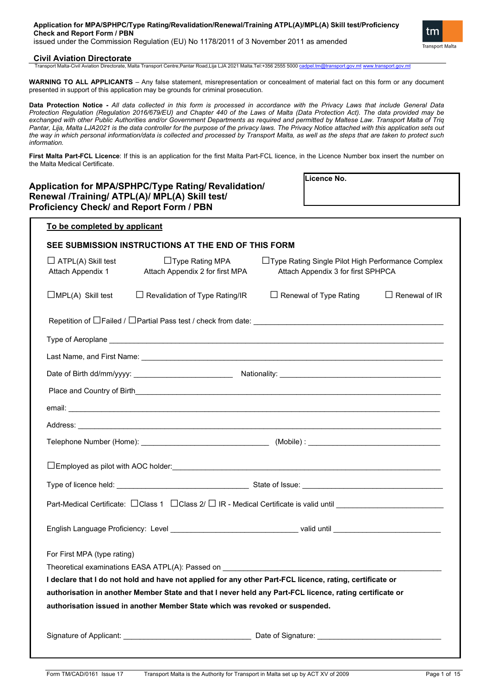| Application for MPA/SPHPC/Type Rating/Revalidation/Renewal/Training ATPL(A)/MPL(A) Skill test/Proficiency           |
|---------------------------------------------------------------------------------------------------------------------|
| <b>Check and Report Form / PBN</b>                                                                                  |
| $\sim$ . The second contract of the second contract of $\sim$ /EUN NL 4470/0044 - CONFIRM (see OO44 - a constant of |

issued under the Commission Regulation (EU) No 1178/2011 of 3 November 2011 as amended

## **Civil Aviation Directorate**

Transport Malta-Civil Aviation Directorate, Malta Transport Centre,Pantar Road,Lija LJA 2021 Malta.Tel:+356 2555 5000 [cadpel.tm@transport.gov.mt](mailto:cadpel.tm@transport.gov.mt) [www.transport.gov.mt](http://www.transport.gov.mt/)

**WARNING TO ALL APPLICANTS** – Any false statement, misrepresentation or concealment of material fact on this form or any document presented in support of this application may be grounds for criminal prosecution.

**Data Protection Notice -** *All data collected in this form is processed in accordance with the Privacy Laws that include General Data Protection Regulation (Regulation 2016/679/EU) and Chapter 440 of the Laws of Malta (Data Protection Act). The data provided may be exchanged with other Public Authorities and/or Government Departments as required and permitted by Maltese Law. Transport Malta of Triq* Pantar, Lija, Malta LJA2021 is the data controller for the purpose of the privacy laws. The Privacy Notice attached with this application sets out *the way in which personal information/data is collected and processed by Transport Malta, as well as the steps that are taken to protect such information.*

**First Malta Part-FCL Licence**: If this is an application for the first Malta Part-FCL licence, in the Licence Number box insert the number on the Malta Medical Certificate.

**Licence No.**

tm **Transport Malta** 

# **Application for MPA/SPHPC/Type Rating/ Revalidation/ Renewal /Training/ ATPL(A)/ MPL(A) Skill test/ Proficiency Check/ and Report Form / PBN**

| To be completed by applicant                                                                                                                                                                 |                                                           |                                                                                          |                      |  |  |  |
|----------------------------------------------------------------------------------------------------------------------------------------------------------------------------------------------|-----------------------------------------------------------|------------------------------------------------------------------------------------------|----------------------|--|--|--|
|                                                                                                                                                                                              | SEE SUBMISSION INSTRUCTIONS AT THE END OF THIS FORM       |                                                                                          |                      |  |  |  |
| $\Box$ ATPL(A) Skill test<br>Attach Appendix 1                                                                                                                                               | $\Box$ Type Rating MPA<br>Attach Appendix 2 for first MPA | □Type Rating Single Pilot High Performance Complex<br>Attach Appendix 3 for first SPHPCA |                      |  |  |  |
| $\Box$ MPL(A) Skill test                                                                                                                                                                     | □ Revalidation of Type Rating/IR                          | □ Renewal of Type Rating                                                                 | $\Box$ Renewal of IR |  |  |  |
|                                                                                                                                                                                              |                                                           |                                                                                          |                      |  |  |  |
|                                                                                                                                                                                              | Type of Aeroplane                                         |                                                                                          |                      |  |  |  |
|                                                                                                                                                                                              |                                                           |                                                                                          |                      |  |  |  |
|                                                                                                                                                                                              |                                                           |                                                                                          |                      |  |  |  |
|                                                                                                                                                                                              |                                                           |                                                                                          |                      |  |  |  |
|                                                                                                                                                                                              |                                                           |                                                                                          |                      |  |  |  |
|                                                                                                                                                                                              |                                                           |                                                                                          |                      |  |  |  |
|                                                                                                                                                                                              |                                                           |                                                                                          |                      |  |  |  |
|                                                                                                                                                                                              |                                                           |                                                                                          |                      |  |  |  |
|                                                                                                                                                                                              |                                                           |                                                                                          |                      |  |  |  |
| Part-Medical Certificate: □ Class 1 □ Class 2/ □ IR - Medical Certificate is valid until ______________________                                                                              |                                                           |                                                                                          |                      |  |  |  |
|                                                                                                                                                                                              |                                                           |                                                                                          |                      |  |  |  |
| For First MPA (type rating)                                                                                                                                                                  |                                                           |                                                                                          |                      |  |  |  |
| Theoretical examinations EASA ATPL(A): Passed on _______________________________<br>I declare that I do not hold and have not applied for any other Part-FCL licence, rating, certificate or |                                                           |                                                                                          |                      |  |  |  |
| authorisation in another Member State and that I never held any Part-FCL licence, rating certificate or                                                                                      |                                                           |                                                                                          |                      |  |  |  |
| authorisation issued in another Member State which was revoked or suspended.                                                                                                                 |                                                           |                                                                                          |                      |  |  |  |
|                                                                                                                                                                                              |                                                           |                                                                                          |                      |  |  |  |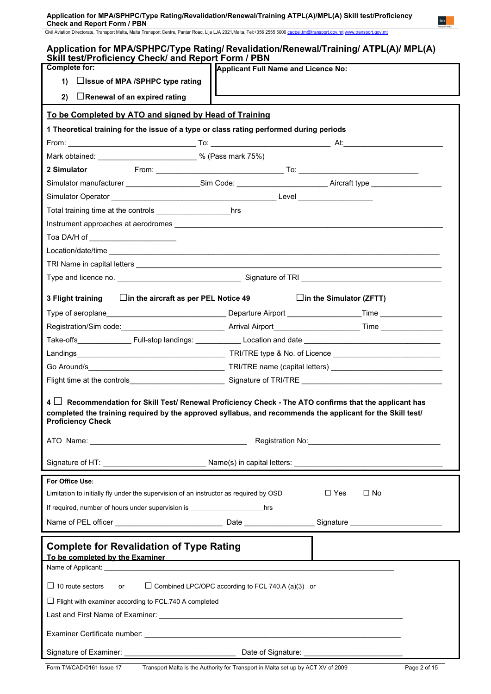Civil Aviation Directorate, Transport Malta, Malta Transport Centre, Pantar Road, Lija LJA 2021,Malta. Tel:+356 2555 5000 [cadpel.tm@transport.gov.mt](mailto:cadpel.tm@transport.gov.mt) www.transport.gov.mt

| Application for MPA/SPHPC/Type Rating/ Revalidation/Renewal/Training/ ATPL(A)/ MPL(A)<br>Skill test/Proficiency Check/ and Report Form / PBN                                                                                                          |  |  |  |  |  |
|-------------------------------------------------------------------------------------------------------------------------------------------------------------------------------------------------------------------------------------------------------|--|--|--|--|--|
| <b>Complete for:</b><br><b>Applicant Full Name and Licence No:</b>                                                                                                                                                                                    |  |  |  |  |  |
| □Issue of MPA /SPHPC type rating<br>1)                                                                                                                                                                                                                |  |  |  |  |  |
| 2)<br>$\Box$ Renewal of an expired rating                                                                                                                                                                                                             |  |  |  |  |  |
| To be Completed by ATO and signed by Head of Training                                                                                                                                                                                                 |  |  |  |  |  |
| 1 Theoretical training for the issue of a type or class rating performed during periods                                                                                                                                                               |  |  |  |  |  |
|                                                                                                                                                                                                                                                       |  |  |  |  |  |
| Mark obtained: ______________________________ % (Pass mark 75%)                                                                                                                                                                                       |  |  |  |  |  |
| 2 Simulator                                                                                                                                                                                                                                           |  |  |  |  |  |
| Simulator manufacturer ______________________Sim Code: ________________________Aircraft type _________________                                                                                                                                        |  |  |  |  |  |
|                                                                                                                                                                                                                                                       |  |  |  |  |  |
| hrs                                                                                                                                                                                                                                                   |  |  |  |  |  |
| Instrument approaches at aerodromes example and the state of the state of the state of the state of the state o                                                                                                                                       |  |  |  |  |  |
| Toa DA/H of _______________________                                                                                                                                                                                                                   |  |  |  |  |  |
|                                                                                                                                                                                                                                                       |  |  |  |  |  |
|                                                                                                                                                                                                                                                       |  |  |  |  |  |
|                                                                                                                                                                                                                                                       |  |  |  |  |  |
| $\Box$ in the aircraft as per PEL Notice 49<br>$\Box$ in the Simulator (ZFTT)<br>3 Flight training                                                                                                                                                    |  |  |  |  |  |
|                                                                                                                                                                                                                                                       |  |  |  |  |  |
|                                                                                                                                                                                                                                                       |  |  |  |  |  |
| Take-offs____________________Full-stop landings: _______________Location and date _____________________________                                                                                                                                       |  |  |  |  |  |
|                                                                                                                                                                                                                                                       |  |  |  |  |  |
|                                                                                                                                                                                                                                                       |  |  |  |  |  |
| Flight time at the controls______________________________Signature of TRI/TRE ________________________________                                                                                                                                        |  |  |  |  |  |
| $4 \Box$ Recommendation for Skill Test/ Renewal Proficiency Check - The ATO confirms that the applicant has<br>completed the training required by the approved syllabus, and recommends the applicant for the Skill test/<br><b>Proficiency Check</b> |  |  |  |  |  |
| Registration No: 2008                                                                                                                                                                                                                                 |  |  |  |  |  |
|                                                                                                                                                                                                                                                       |  |  |  |  |  |
| For Office Use:                                                                                                                                                                                                                                       |  |  |  |  |  |
| $\Box$ Yes<br>$\Box$ No<br>Limitation to initially fly under the supervision of an instructor as required by OSD                                                                                                                                      |  |  |  |  |  |
| If required, number of hours under supervision is _____________________________hrs                                                                                                                                                                    |  |  |  |  |  |
|                                                                                                                                                                                                                                                       |  |  |  |  |  |
| <b>Complete for Revalidation of Type Rating</b><br>To be completed by the Examiner Complete and Complete and Complete and Complete and Complete and Complete and                                                                                      |  |  |  |  |  |
|                                                                                                                                                                                                                                                       |  |  |  |  |  |
| $\Box$ 10 route sectors<br>$\Box$ Combined LPC/OPC according to FCL 740.A (a)(3) or<br>or                                                                                                                                                             |  |  |  |  |  |
| $\Box$ Flight with examiner according to FCL.740 A completed                                                                                                                                                                                          |  |  |  |  |  |
|                                                                                                                                                                                                                                                       |  |  |  |  |  |
|                                                                                                                                                                                                                                                       |  |  |  |  |  |
|                                                                                                                                                                                                                                                       |  |  |  |  |  |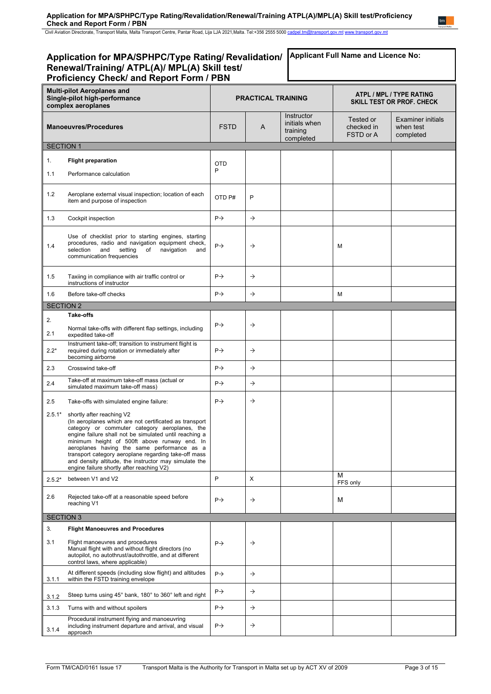Civil Aviation Directorate, Transport Malta, Malta Transport Centre, Pantar Road, Lija LJA 2021,Malta. Tel:+356 2555 5000 [cadpel.tm@transport.gov.mt](mailto:cadpel.tm@transport.gov.mt) www.transport.gov.mt

#### **Application for MPA/SPHPC/Type Rating/ Revalidation/ Renewal/Training/ ATPL(A)/ MPL(A) Skill test/ Proficiency Check/ and Report Form / PBN Multi-pilot Aeroplanes and Single-pilot high-performance complex aeroplanes PRACTICAL TRAINING ATPL / MPL / TYPE RATING SKILL TEST OR PROF. CHECK Manoeuvres/Procedures FSTD** A **Instructor** initials when training completed Tested or checked in FSTD or A Examiner initials when test completed SECTION 1 1. 1.1 **Flight preparation** Performance calculation OTD P 1.2 Aeroplane external visual inspection; location of each item and purpose of inspection OTD P# <sup>P</sup> 1.3 Cockpit inspection P 1.4 Use of checklist prior to starting engines, starting procedures, radio and navigation equipment check, selection and setting of navigation and communication frequencies  $\mathsf{P}\rightarrow$   $\qquad \qquad \mathsf{M}$ 1.5 Taxiing in compliance with air traffic control or instructions of instructor  $P \rightarrow$ 1.6 Before take-off checks  $\begin{vmatrix} P \rightarrow \\ \end{vmatrix}$   $\rightarrow$   $\begin{vmatrix} \rightarrow \\ \end{vmatrix}$  M SECTION 2 2. 2.1 **Take-offs** Normal take-offs with different flap settings, including expedited take-off  $P \rightarrow$   $\rightarrow$ 2.2\* Instrument take-off; transition to instrument flight is required during rotation or immediately after becoming airborne  $P \rightarrow$   $\rightarrow$ 2.3 Crosswind take-off P 2.4 Take-off at maximum take-off mass (actual or<br>
comulated maximum take off mass) Take-off at maximum take-off mass (actual or  $\begin{array}{|c|c|c|c|c|}\n \text{simulated maximum take-off mass)}\n \end{array}$ 2.5  $2.5.1*$ Take-offs with simulated engine failure: shortly after reaching V2 (In aeroplanes which are not certificated as transport category or commuter category aeroplanes, the engine failure shall not be simulated until reaching a minimum height of 500ft above runway end. In aeroplanes having the same performance as a transport category aeroplane regarding take-off mass and density altitude, the instructor may simulate the engine failure shortly after reaching V2)  $P \rightarrow$ 2.5.2\* between V1 and V2 <sup>P</sup> <sup>X</sup> <sup>M</sup> FFS only 2.6 Rejected take-off at a reasonable speed before  $\rho \rightarrow$   $\rho \rightarrow$   $\rho$ SECTION 3 3. 3.1 **Flight Manoeuvres and Procedures** Flight manoeuvres and procedures Manual flight with and without flight directors (no autopilot, no autothrust/autothrottle, and at different control laws, where applicable)  $P \rightarrow$   $\rightarrow$ 3.1.1 At different speeds (including slow flight) and altitudes within the FSTD training envelope  $P \rightarrow$ 3.1.2 Steep turns using 45° bank, 180° to 360° left and right  $\left|\begin{array}{ccc} P \rightarrow \\ \end{array}\right|$ 3.1.3 Turns with and without spoilers **P**  $\rightarrow$  P  $\rightarrow$  P **Applicant Full Name and Licence No:**

approach

Procedural instrument flying and manoeuvring including instrument departure and arrival, and visual

3.1.4

 $P \rightarrow$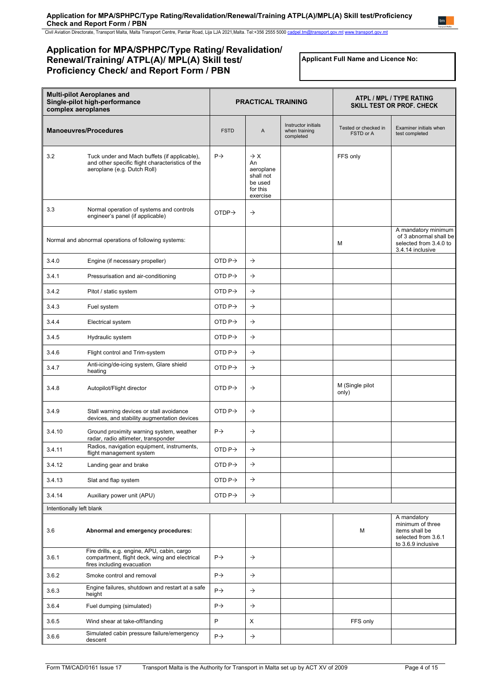Civil Aviation Directorate, Transport Malta, Malta Transport Centre, Pantar Road, Lija LJA 2021,Malta. Tel:+356 2555 5000 [cadpel.tm@transport.gov.mt](mailto:cadpel.tm@transport.gov.mt) www.transport.gov.mt

# **Application for MPA/SPHPC/Type Rating/ Revalidation/ Renewal/Training/ ATPL(A)/ MPL(A) Skill test/ Proficiency Check/ and Report Form / PBN**

**Applicant Full Name and Licence No:**

| <b>Multi-pilot Aeroplanes and</b><br>Single-pilot high-performance<br>complex aeroplanes |                                                                                                                                 | <b>PRACTICAL TRAINING</b> |                                                                                    | ATPL / MPL / TYPE RATING<br>SKILL TEST OR PROF. CHECK |                                   |                                                                                                |
|------------------------------------------------------------------------------------------|---------------------------------------------------------------------------------------------------------------------------------|---------------------------|------------------------------------------------------------------------------------|-------------------------------------------------------|-----------------------------------|------------------------------------------------------------------------------------------------|
|                                                                                          | <b>Manoeuvres/Procedures</b>                                                                                                    | <b>FSTD</b>               | A                                                                                  | Instructor initials<br>when training<br>completed     | Tested or checked in<br>FSTD or A | Examiner initials when<br>test completed                                                       |
| 3.2                                                                                      | Tuck under and Mach buffets (if applicable),<br>and other specific flight characteristics of the<br>aeroplane (e.g. Dutch Roll) | $P\rightarrow$            | $\rightarrow$ X<br>An<br>aeroplane<br>shall not<br>be used<br>for this<br>exercise |                                                       | FFS only                          |                                                                                                |
| 3.3                                                                                      | Normal operation of systems and controls<br>engineer's panel (if applicable)                                                    | OTDP $\rightarrow$        | $\rightarrow$                                                                      |                                                       |                                   |                                                                                                |
|                                                                                          | Normal and abnormal operations of following systems:                                                                            |                           |                                                                                    |                                                       | м                                 | A mandatory minimum<br>of 3 abnormal shall be<br>selected from 3.4.0 to<br>3.4.14 inclusive    |
| 3.4.0                                                                                    | Engine (if necessary propeller)                                                                                                 | OTD $P \rightarrow$       | $\rightarrow$                                                                      |                                                       |                                   |                                                                                                |
| 3.4.1                                                                                    | Pressurisation and air-conditioning                                                                                             | OTD $P \rightarrow$       | $\rightarrow$                                                                      |                                                       |                                   |                                                                                                |
| 3.4.2                                                                                    | Pitot / static system                                                                                                           | OTD $P \rightarrow$       | $\rightarrow$                                                                      |                                                       |                                   |                                                                                                |
| 3.4.3                                                                                    | Fuel system                                                                                                                     | OTD $P\rightarrow$        | $\rightarrow$                                                                      |                                                       |                                   |                                                                                                |
| 3.4.4                                                                                    | Electrical system                                                                                                               | OTD $P\rightarrow$        | $\rightarrow$                                                                      |                                                       |                                   |                                                                                                |
| 3.4.5                                                                                    | Hydraulic system                                                                                                                | OTD P $\rightarrow$       | $\rightarrow$                                                                      |                                                       |                                   |                                                                                                |
| 3.4.6                                                                                    | Flight control and Trim-system                                                                                                  | OTD $P\rightarrow$        | $\rightarrow$                                                                      |                                                       |                                   |                                                                                                |
| 3.4.7                                                                                    | Anti-icing/de-icing system, Glare shield<br>heating                                                                             | OTD $P\rightarrow$        | $\rightarrow$                                                                      |                                                       |                                   |                                                                                                |
| 3.4.8                                                                                    | Autopilot/Flight director                                                                                                       | OTD $P\rightarrow$        | $\rightarrow$                                                                      |                                                       | M (Single pilot<br>only)          |                                                                                                |
| 3.4.9                                                                                    | Stall warning devices or stall avoidance<br>devices, and stability augmentation devices                                         | OTD $P\rightarrow$        | $\rightarrow$                                                                      |                                                       |                                   |                                                                                                |
| 3.4.10                                                                                   | Ground proximity warning system, weather<br>radar, radio altimeter, transponder                                                 | $P \rightarrow$           | $\rightarrow$                                                                      |                                                       |                                   |                                                                                                |
| 3.4.11                                                                                   | Radios, navigation equipment, instruments,<br>flight management system                                                          | OTD $P \rightarrow$       | $\rightarrow$                                                                      |                                                       |                                   |                                                                                                |
| 3.4.12                                                                                   | Landing gear and brake                                                                                                          | OTD P $\rightarrow$       | $\rightarrow$                                                                      |                                                       |                                   |                                                                                                |
| 3.4.13                                                                                   | Slat and flap system                                                                                                            | OTD $P\rightarrow$        | $\rightarrow$                                                                      |                                                       |                                   |                                                                                                |
| 3.4.14                                                                                   | Auxiliary power unit (APU)                                                                                                      | OTD $P \rightarrow$       | $\rightarrow$                                                                      |                                                       |                                   |                                                                                                |
| Intentionally left blank                                                                 |                                                                                                                                 |                           |                                                                                    |                                                       |                                   |                                                                                                |
| 3.6                                                                                      | Abnormal and emergency procedures:                                                                                              |                           |                                                                                    |                                                       | М                                 | A mandatory<br>minimum of three<br>items shall be<br>selected from 3.6.1<br>to 3.6.9 inclusive |
| 3.6.1                                                                                    | Fire drills, e.g. engine, APU, cabin, cargo<br>compartment, flight deck, wing and electrical<br>fires including evacuation      | $P \rightarrow$           | $\rightarrow$                                                                      |                                                       |                                   |                                                                                                |
| 3.6.2                                                                                    | Smoke control and removal                                                                                                       | $P\rightarrow$            | $\rightarrow$                                                                      |                                                       |                                   |                                                                                                |
| 3.6.3                                                                                    | Engine failures, shutdown and restart at a safe<br>height                                                                       | $P\rightarrow$            | $\rightarrow$                                                                      |                                                       |                                   |                                                                                                |
| 3.6.4                                                                                    | Fuel dumping (simulated)                                                                                                        | $P\rightarrow$            | $\rightarrow$                                                                      |                                                       |                                   |                                                                                                |
| 3.6.5                                                                                    | Wind shear at take-off/landing                                                                                                  | P                         | X                                                                                  |                                                       | FFS only                          |                                                                                                |
| 3.6.6                                                                                    | Simulated cabin pressure failure/emergency<br>descent                                                                           | $P\rightarrow$            | $\rightarrow$                                                                      |                                                       |                                   |                                                                                                |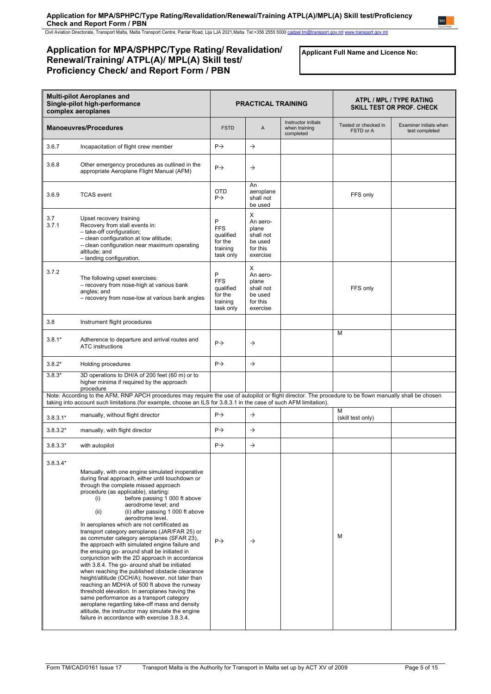Civil Aviation Directorate, Transport Malta, Malta Transport Centre, Pantar Road, Lija LJA 2021,Malta. Tel:+356 2555 5000 [cadpel.tm@transport.gov.mt](mailto:cadpel.tm@transport.gov.mt) www.transport.gov.mt

# **Application for MPA/SPHPC/Type Rating/ Revalidation/ Renewal/Training/ ATPL(A)/ MPL(A) Skill test/ Proficiency Check/ and Report Form / PBN**

**Applicant Full Name and Licence No:**

| <b>Multi-pilot Aeroplanes and</b><br>Single-pilot high-performance<br>complex aeroplanes |                                                                                                                                                                                                                                                                                                                                                                                                                                                                                                                                                                                                                                                                                                                                                                                                                                                                                                                                                                                                                                                                                 | <b>PRACTICAL TRAINING</b>                                        |                                                                        | ATPL / MPL / TYPE RATING<br><b>SKILL TEST OR PROF. CHECK</b> |                                   |                                          |
|------------------------------------------------------------------------------------------|---------------------------------------------------------------------------------------------------------------------------------------------------------------------------------------------------------------------------------------------------------------------------------------------------------------------------------------------------------------------------------------------------------------------------------------------------------------------------------------------------------------------------------------------------------------------------------------------------------------------------------------------------------------------------------------------------------------------------------------------------------------------------------------------------------------------------------------------------------------------------------------------------------------------------------------------------------------------------------------------------------------------------------------------------------------------------------|------------------------------------------------------------------|------------------------------------------------------------------------|--------------------------------------------------------------|-----------------------------------|------------------------------------------|
| <b>Manoeuvres/Procedures</b>                                                             |                                                                                                                                                                                                                                                                                                                                                                                                                                                                                                                                                                                                                                                                                                                                                                                                                                                                                                                                                                                                                                                                                 | <b>FSTD</b>                                                      | A                                                                      | Instructor initials<br>when training<br>completed            | Tested or checked in<br>FSTD or A | Examiner initials when<br>test completed |
| 3.6.7                                                                                    | Incapacitation of flight crew member                                                                                                                                                                                                                                                                                                                                                                                                                                                                                                                                                                                                                                                                                                                                                                                                                                                                                                                                                                                                                                            | $P \rightarrow$                                                  | $\rightarrow$                                                          |                                                              |                                   |                                          |
| 3.6.8                                                                                    | Other emergency procedures as outlined in the<br>appropriate Aeroplane Flight Manual (AFM)                                                                                                                                                                                                                                                                                                                                                                                                                                                                                                                                                                                                                                                                                                                                                                                                                                                                                                                                                                                      | $P \rightarrow$                                                  | $\rightarrow$                                                          |                                                              |                                   |                                          |
| 3.6.9                                                                                    | <b>TCAS</b> event                                                                                                                                                                                                                                                                                                                                                                                                                                                                                                                                                                                                                                                                                                                                                                                                                                                                                                                                                                                                                                                               | <b>OTD</b><br>$P \rightarrow$                                    | An<br>aeroplane<br>shall not<br>be used                                |                                                              | FFS only                          |                                          |
| 3.7<br>3.7.1                                                                             | Upset recovery training<br>Recovery from stall events in:<br>- take-off configuration;<br>- clean configuration at low altitude;<br>- clean configuration near maximum operating<br>altitude; and<br>- landing configuration.                                                                                                                                                                                                                                                                                                                                                                                                                                                                                                                                                                                                                                                                                                                                                                                                                                                   | P<br><b>FFS</b><br>qualified<br>for the<br>training<br>task only | X<br>An aero-<br>plane<br>shall not<br>be used<br>for this<br>exercise |                                                              |                                   |                                          |
| 3.7.2                                                                                    | The following upset exercises:<br>- recovery from nose-high at various bank<br>angles: and<br>- recovery from nose-low at various bank angles                                                                                                                                                                                                                                                                                                                                                                                                                                                                                                                                                                                                                                                                                                                                                                                                                                                                                                                                   | P<br><b>FFS</b><br>qualified<br>for the<br>training<br>task only | Χ<br>An aero-<br>plane<br>shall not<br>be used<br>for this<br>exercise |                                                              | FFS only                          |                                          |
| 3.8                                                                                      | Instrument flight procedures                                                                                                                                                                                                                                                                                                                                                                                                                                                                                                                                                                                                                                                                                                                                                                                                                                                                                                                                                                                                                                                    |                                                                  |                                                                        |                                                              |                                   |                                          |
| $3.8.1*$                                                                                 | Adherence to departure and arrival routes and<br><b>ATC</b> instructions                                                                                                                                                                                                                                                                                                                                                                                                                                                                                                                                                                                                                                                                                                                                                                                                                                                                                                                                                                                                        | $P \rightarrow$                                                  | $\rightarrow$                                                          |                                                              | M                                 |                                          |
| $3.8.2*$                                                                                 | Holding procedures                                                                                                                                                                                                                                                                                                                                                                                                                                                                                                                                                                                                                                                                                                                                                                                                                                                                                                                                                                                                                                                              | $P \rightarrow$                                                  | $\rightarrow$                                                          |                                                              |                                   |                                          |
| $3.8.3*$                                                                                 | 3D operations to DH/A of 200 feet (60 m) or to<br>higher minima if required by the approach<br>procedure                                                                                                                                                                                                                                                                                                                                                                                                                                                                                                                                                                                                                                                                                                                                                                                                                                                                                                                                                                        |                                                                  |                                                                        |                                                              |                                   |                                          |
|                                                                                          | Note: According to the AFM, RNP APCH procedures may require the use of autopilot or flight director. The procedure to be flown manually shall be chosen<br>taking into account such limitations (for example, choose an ILS for 3.8.3.1 in the case of such AFM limitation).                                                                                                                                                                                                                                                                                                                                                                                                                                                                                                                                                                                                                                                                                                                                                                                                    |                                                                  |                                                                        |                                                              |                                   |                                          |
| $3.8.3.1*$                                                                               | manually, without flight director                                                                                                                                                                                                                                                                                                                                                                                                                                                                                                                                                                                                                                                                                                                                                                                                                                                                                                                                                                                                                                               | $P \rightarrow$                                                  | $\rightarrow$                                                          |                                                              | M<br>(skill test only)            |                                          |
| $3.8.3.2*$                                                                               | manually, with flight director                                                                                                                                                                                                                                                                                                                                                                                                                                                                                                                                                                                                                                                                                                                                                                                                                                                                                                                                                                                                                                                  | $P \rightarrow$                                                  | $\rightarrow$                                                          |                                                              |                                   |                                          |
| $3.8.3.3*$                                                                               | with autopilot                                                                                                                                                                                                                                                                                                                                                                                                                                                                                                                                                                                                                                                                                                                                                                                                                                                                                                                                                                                                                                                                  | $P \rightarrow$                                                  | $\rightarrow$                                                          |                                                              |                                   |                                          |
| $3.8.3.4*$                                                                               | Manually, with one engine simulated inoperative<br>during final approach, either until touchdown or<br>through the complete missed approach<br>procedure (as applicable), starting:<br>before passing 1 000 ft above<br>(i)<br>aerodrome level; and<br>(ii) after passing 1 000 ft above<br>(ii)<br>aerodrome level.<br>In aeroplanes which are not certificated as<br>transport category aeroplanes (JAR/FAR 25) or<br>as commuter category aeroplanes (SFAR 23),<br>the approach with simulated engine failure and<br>the ensuing go- around shall be initiated in<br>conjunction with the 2D approach in accordance<br>with 3.8.4. The go- around shall be initiated<br>when reaching the published obstacle clearance<br>height/altitude (OCH/A); however, not later than<br>reaching an MDH/A of 500 ft above the runway<br>threshold elevation. In aeroplanes having the<br>same performance as a transport category<br>aeroplane regarding take-off mass and density<br>altitude, the instructor may simulate the engine<br>failure in accordance with exercise 3.8.3.4. | $P \rightarrow$                                                  | $\rightarrow$                                                          |                                                              | м                                 |                                          |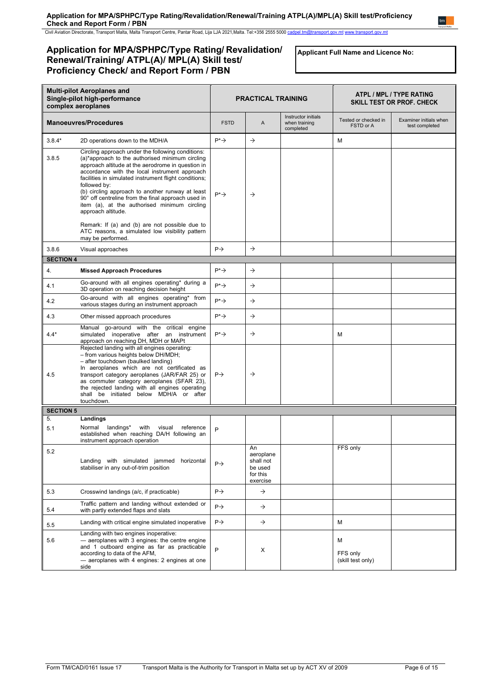Civil Aviation Directorate, Transport Malta, Malta Transport Centre, Pantar Road, Lija LJA 2021,Malta. Tel:+356 2555 5000 [cadpel.tm@transport.gov.mt](mailto:cadpel.tm@transport.gov.mt) www.transport.gov.mt

# **Application for MPA/SPHPC/Type Rating/ Revalidation/ Renewal/Training/ ATPL(A)/ MPL(A) Skill test/ Proficiency Check/ and Report Form / PBN**

**Applicant Full Name and Licence No:**

| <b>Multi-pilot Aeroplanes and</b><br>Single-pilot high-performance<br>complex aeroplanes |                                                                                                                                                                                                                                                                                                                                                                                                                                                                     | <b>PRACTICAL TRAINING</b> |                                                                 | ATPL / MPL / TYPE RATING<br><b>SKILL TEST OR PROF. CHECK</b> |                                    |                                          |
|------------------------------------------------------------------------------------------|---------------------------------------------------------------------------------------------------------------------------------------------------------------------------------------------------------------------------------------------------------------------------------------------------------------------------------------------------------------------------------------------------------------------------------------------------------------------|---------------------------|-----------------------------------------------------------------|--------------------------------------------------------------|------------------------------------|------------------------------------------|
|                                                                                          | <b>Manoeuvres/Procedures</b>                                                                                                                                                                                                                                                                                                                                                                                                                                        | <b>FSTD</b>               | A                                                               | Instructor initials<br>when training<br>completed            | Tested or checked in<br>FSTD or A  | Examiner initials when<br>test completed |
| $3.8.4*$                                                                                 | 2D operations down to the MDH/A                                                                                                                                                                                                                                                                                                                                                                                                                                     | $P^* \rightarrow$         | $\rightarrow$                                                   |                                                              | M                                  |                                          |
| 3.8.5                                                                                    | Circling approach under the following conditions:<br>(a)*approach to the authorised minimum circling<br>approach altitude at the aerodrome in question in<br>accordance with the local instrument approach<br>facilities in simulated instrument flight conditions;<br>followed by:<br>(b) circling approach to another runway at least<br>90° off centreline from the final approach used in<br>item (a), at the authorised minimum circling<br>approach altitude. | $P^* \rightarrow$         | $\rightarrow$                                                   |                                                              |                                    |                                          |
|                                                                                          | Remark: If (a) and (b) are not possible due to<br>ATC reasons, a simulated low visibility pattern<br>may be performed.                                                                                                                                                                                                                                                                                                                                              |                           |                                                                 |                                                              |                                    |                                          |
| 3.8.6                                                                                    | Visual approaches                                                                                                                                                                                                                                                                                                                                                                                                                                                   | $P \rightarrow$           | $\rightarrow$                                                   |                                                              |                                    |                                          |
| <b>SECTION 4</b>                                                                         |                                                                                                                                                                                                                                                                                                                                                                                                                                                                     |                           |                                                                 |                                                              |                                    |                                          |
| 4.                                                                                       | <b>Missed Approach Procedures</b>                                                                                                                                                                                                                                                                                                                                                                                                                                   | $P^* \rightarrow$         | $\rightarrow$                                                   |                                                              |                                    |                                          |
| 4.1                                                                                      | Go-around with all engines operating* during a<br>3D operation on reaching decision height                                                                                                                                                                                                                                                                                                                                                                          | $P^* \rightarrow$         | $\rightarrow$                                                   |                                                              |                                    |                                          |
| 4.2                                                                                      | Go-around with all engines operating* from<br>various stages during an instrument approach                                                                                                                                                                                                                                                                                                                                                                          | $P^* \rightarrow$         | $\rightarrow$                                                   |                                                              |                                    |                                          |
| 4.3                                                                                      | Other missed approach procedures                                                                                                                                                                                                                                                                                                                                                                                                                                    | $P^* \rightarrow$         | $\rightarrow$                                                   |                                                              |                                    |                                          |
| $4.4*$                                                                                   | Manual go-around with the critical engine<br>simulated inoperative after an instrument<br>approach on reaching DH, MDH or MAPt                                                                                                                                                                                                                                                                                                                                      | $P^* \rightarrow$         | $\rightarrow$                                                   |                                                              | M                                  |                                          |
| 4.5                                                                                      | Rejected landing with all engines operating:<br>- from various heights below DH/MDH;<br>- after touchdown (baulked landing)<br>In aeroplanes which are not certificated as<br>transport category aeroplanes (JAR/FAR 25) or<br>as commuter category aeroplanes (SFAR 23),<br>the rejected landing with all engines operating<br>shall be initiated below MDH/A or after<br>touchdown.                                                                               | $P \rightarrow$           | $\rightarrow$                                                   |                                                              |                                    |                                          |
| <b>SECTION 5</b>                                                                         |                                                                                                                                                                                                                                                                                                                                                                                                                                                                     |                           |                                                                 |                                                              |                                    |                                          |
| 5.<br>5.1                                                                                | Landings<br>Normal landings*<br>with<br>reference<br>visual<br>established when reaching DA/H following an<br>instrument approach operation                                                                                                                                                                                                                                                                                                                         | P                         |                                                                 |                                                              |                                    |                                          |
| 5.2                                                                                      | Landing with simulated jammed horizontal<br>stabiliser in any out-of-trim position                                                                                                                                                                                                                                                                                                                                                                                  | $P \rightarrow$           | An<br>aeroplane<br>shall not<br>be used<br>for this<br>exercise |                                                              | FFS only                           |                                          |
| 5.3                                                                                      | Crosswind landings (a/c, if practicable)                                                                                                                                                                                                                                                                                                                                                                                                                            | $P \rightarrow$           | $\rightarrow$                                                   |                                                              |                                    |                                          |
| 5.4                                                                                      | Traffic pattern and landing without extended or<br>with partly extended flaps and slats                                                                                                                                                                                                                                                                                                                                                                             | $P \rightarrow$           | $\rightarrow$                                                   |                                                              |                                    |                                          |
| 5.5                                                                                      | Landing with critical engine simulated inoperative                                                                                                                                                                                                                                                                                                                                                                                                                  | $P \rightarrow$           | $\rightarrow$                                                   |                                                              | м                                  |                                          |
| 5.6                                                                                      | Landing with two engines inoperative:<br>- aeroplanes with 3 engines: the centre engine<br>and 1 outboard engine as far as practicable<br>according to data of the AFM,<br>- aeroplanes with 4 engines: 2 engines at one<br>side                                                                                                                                                                                                                                    | P                         | х                                                               |                                                              | М<br>FFS only<br>(skill test only) |                                          |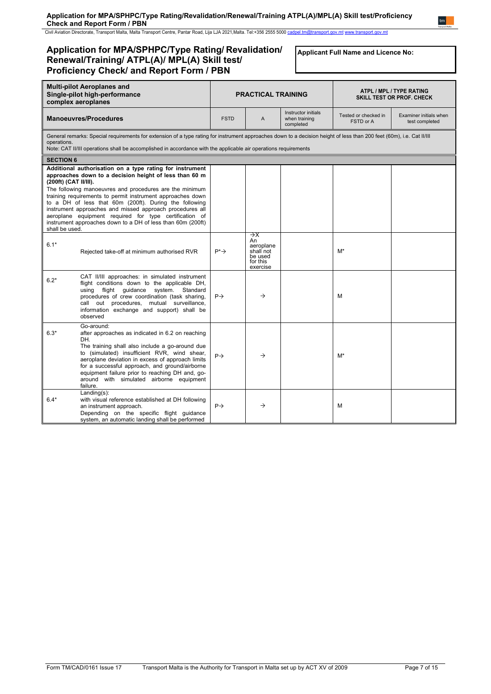Civil Aviation Directorate, Transport Malta, Malta Transport Centre, Pantar Road, Lija LJA 2021,Malta. Tel:+356 2555 5000 [cadpel.tm@transport.gov.mt](mailto:cadpel.tm@transport.gov.mt) www.transport.gov.mt

# **Application for MPA/SPHPC/Type Rating/ Revalidation/ Renewal/Training/ ATPL(A)/ MPL(A) Skill test/ Proficiency Check/ and Report Form / PBN**

**Applicant Full Name and Licence No:**

| <b>Multi-pilot Aeroplanes and</b><br>Single-pilot high-performance<br>complex aeroplanes |                                                                                                                                                                                                                                                                                                                                                                                                                                                                                            | <b>PRACTICAL TRAINING</b> |                                                                                    | ATPL / MPL / TYPE RATING<br><b>SKILL TEST OR PROF. CHECK</b> |                                   |                                          |
|------------------------------------------------------------------------------------------|--------------------------------------------------------------------------------------------------------------------------------------------------------------------------------------------------------------------------------------------------------------------------------------------------------------------------------------------------------------------------------------------------------------------------------------------------------------------------------------------|---------------------------|------------------------------------------------------------------------------------|--------------------------------------------------------------|-----------------------------------|------------------------------------------|
|                                                                                          | <b>Manoeuvres/Procedures</b>                                                                                                                                                                                                                                                                                                                                                                                                                                                               | <b>FSTD</b>               | A                                                                                  | Instructor initials<br>when training<br>completed            | Tested or checked in<br>FSTD or A | Examiner initials when<br>test completed |
| operations.                                                                              | General remarks: Special requirements for extension of a type rating for instrument approaches down to a decision height of less than 200 feet (60m), i.e. Cat II/III<br>Note: CAT II/III operations shall be accomplished in accordance with the applicable air operations requirements                                                                                                                                                                                                   |                           |                                                                                    |                                                              |                                   |                                          |
| <b>SECTION 6</b>                                                                         |                                                                                                                                                                                                                                                                                                                                                                                                                                                                                            |                           |                                                                                    |                                                              |                                   |                                          |
| (200ft) (CAT II/III).<br>shall be used.                                                  | Additional authorisation on a type rating for instrument<br>approaches down to a decision height of less than 60 m<br>The following manoeuvres and procedures are the minimum<br>training requirements to permit instrument approaches down<br>to a DH of less that 60m (200ft). During the following<br>instrument approaches and missed approach procedures all<br>aeroplane equipment required for type certification of<br>instrument approaches down to a DH of less than 60m (200ft) |                           |                                                                                    |                                                              |                                   |                                          |
| $6.1*$                                                                                   | Rejected take-off at minimum authorised RVR                                                                                                                                                                                                                                                                                                                                                                                                                                                | $P^* \rightarrow$         | $\rightarrow$ x<br>An<br>aeroplane<br>shall not<br>be used<br>for this<br>exercise |                                                              | M*                                |                                          |
| $6.2*$                                                                                   | CAT II/III approaches: in simulated instrument<br>flight conditions down to the applicable DH,<br>using flight guidance<br>system.<br>Standard<br>procedures of crew coordination (task sharing,<br>call out procedures, mutual surveillance,<br>information exchange and support) shall be<br>observed                                                                                                                                                                                    | $P \rightarrow$           | $\rightarrow$                                                                      |                                                              | м                                 |                                          |
| $6.3*$                                                                                   | Go-around:<br>after approaches as indicated in 6.2 on reaching<br>DH.<br>The training shall also include a go-around due<br>to (simulated) insufficient RVR, wind shear,<br>aeroplane deviation in excess of approach limits<br>for a successful approach, and ground/airborne<br>equipment failure prior to reaching DH and, go-<br>around with simulated airborne equipment<br>failure.                                                                                                  | $P \rightarrow$           | $\rightarrow$                                                                      |                                                              | $M^*$                             |                                          |
| $6.4*$                                                                                   | $Landing(s)$ :<br>with visual reference established at DH following<br>an instrument approach.<br>Depending on the specific flight guidance<br>system, an automatic landing shall be performed                                                                                                                                                                                                                                                                                             | $P \rightarrow$           | $\rightarrow$                                                                      |                                                              | M                                 |                                          |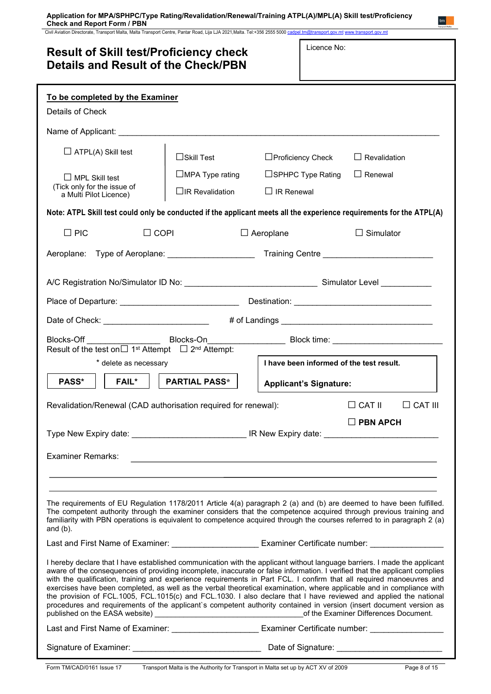Civil Aviation Directorate, Transport Malta, Malta Transport Centre, Pantar Road, Lija LJA 2021,Malta. Tel:+356 2555 5000 [cadpel.tm@transport.gov.mt](mailto:cadpel.tm@transport.gov.mt) www.transport.gov.mt

| <b>Result of Skill test/Proficiency check</b><br><b>Details and Result of the Check/PBN</b>                                                                                                                                                                                                                                                                                                                                                                                                                                                                                                                                                                                                                                                          |  |  |  |  |  |
|------------------------------------------------------------------------------------------------------------------------------------------------------------------------------------------------------------------------------------------------------------------------------------------------------------------------------------------------------------------------------------------------------------------------------------------------------------------------------------------------------------------------------------------------------------------------------------------------------------------------------------------------------------------------------------------------------------------------------------------------------|--|--|--|--|--|
| To be completed by the Examiner                                                                                                                                                                                                                                                                                                                                                                                                                                                                                                                                                                                                                                                                                                                      |  |  |  |  |  |
| Details of Check                                                                                                                                                                                                                                                                                                                                                                                                                                                                                                                                                                                                                                                                                                                                     |  |  |  |  |  |
| Name of Applicant: ___________________________________                                                                                                                                                                                                                                                                                                                                                                                                                                                                                                                                                                                                                                                                                               |  |  |  |  |  |
| $\Box$ ATPL(A) Skill test<br>$\Box$ Skill Test<br>$\Box$ Proficiency Check<br>$\Box$ Revalidation                                                                                                                                                                                                                                                                                                                                                                                                                                                                                                                                                                                                                                                    |  |  |  |  |  |
| $\Box$ MPA Type rating<br>$\Box$ SPHPC Type Rating<br>$\Box$ Renewal<br>$\Box$ MPL Skill test<br>(Tick only for the issue of<br>$\Box$ IR Revalidation<br>$\Box$ IR Renewal<br>a Multi Pilot Licence)                                                                                                                                                                                                                                                                                                                                                                                                                                                                                                                                                |  |  |  |  |  |
| Note: ATPL Skill test could only be conducted if the applicant meets all the experience requirements for the ATPL(A)                                                                                                                                                                                                                                                                                                                                                                                                                                                                                                                                                                                                                                 |  |  |  |  |  |
|                                                                                                                                                                                                                                                                                                                                                                                                                                                                                                                                                                                                                                                                                                                                                      |  |  |  |  |  |
| $\Box$ PIC<br>$\Box$ COPI<br>$\Box$ Aeroplane<br>$\Box$ Simulator                                                                                                                                                                                                                                                                                                                                                                                                                                                                                                                                                                                                                                                                                    |  |  |  |  |  |
|                                                                                                                                                                                                                                                                                                                                                                                                                                                                                                                                                                                                                                                                                                                                                      |  |  |  |  |  |
|                                                                                                                                                                                                                                                                                                                                                                                                                                                                                                                                                                                                                                                                                                                                                      |  |  |  |  |  |
|                                                                                                                                                                                                                                                                                                                                                                                                                                                                                                                                                                                                                                                                                                                                                      |  |  |  |  |  |
| Date of Check: ___________________________                                                                                                                                                                                                                                                                                                                                                                                                                                                                                                                                                                                                                                                                                                           |  |  |  |  |  |
| Blocks-Off ________________________Blocks-On__________________________Block time: ____________________________<br>Result of the test on $\Box$ 1 <sup>st</sup> Attempt $\Box$ 2 <sup>nd</sup> Attempt:                                                                                                                                                                                                                                                                                                                                                                                                                                                                                                                                               |  |  |  |  |  |
| I have been informed of the test result.<br>* delete as necessary                                                                                                                                                                                                                                                                                                                                                                                                                                                                                                                                                                                                                                                                                    |  |  |  |  |  |
| PASS*<br><b>FAIL*</b><br><b>PARTIAL PASS*</b><br><b>Applicant's Signature:</b>                                                                                                                                                                                                                                                                                                                                                                                                                                                                                                                                                                                                                                                                       |  |  |  |  |  |
| $\Box$ CAT II<br>Revalidation/Renewal (CAD authorisation required for renewal):<br>∐ CAT III                                                                                                                                                                                                                                                                                                                                                                                                                                                                                                                                                                                                                                                         |  |  |  |  |  |
| $\Box$ PBN APCH                                                                                                                                                                                                                                                                                                                                                                                                                                                                                                                                                                                                                                                                                                                                      |  |  |  |  |  |
|                                                                                                                                                                                                                                                                                                                                                                                                                                                                                                                                                                                                                                                                                                                                                      |  |  |  |  |  |
| <b>Examiner Remarks:</b>                                                                                                                                                                                                                                                                                                                                                                                                                                                                                                                                                                                                                                                                                                                             |  |  |  |  |  |
|                                                                                                                                                                                                                                                                                                                                                                                                                                                                                                                                                                                                                                                                                                                                                      |  |  |  |  |  |
| The requirements of EU Regulation 1178/2011 Article 4(a) paragraph 2 (a) and (b) are deemed to have been fulfilled.<br>The competent authority through the examiner considers that the competence acquired through previous training and<br>familiarity with PBN operations is equivalent to competence acquired through the courses referred to in paragraph 2 (a)<br>and $(b)$ .                                                                                                                                                                                                                                                                                                                                                                   |  |  |  |  |  |
| Last and First Name of Examiner: ____________________________ Examiner Certificate number: _______________                                                                                                                                                                                                                                                                                                                                                                                                                                                                                                                                                                                                                                           |  |  |  |  |  |
| I hereby declare that I have established communication with the applicant without language barriers. I made the applicant<br>aware of the consequences of providing incomplete, inaccurate or false information. I verified that the applicant complies<br>with the qualification, training and experience requirements in Part FCL. I confirm that all required manoeuvres and<br>exercises have been completed, as well as the verbal theoretical examination, where applicable and in compliance with<br>the provision of FCL.1005, FCL.1015(c) and FCL.1030. I also declare that I have reviewed and applied the national<br>procedures and requirements of the applicant's competent authority contained in version (insert document version as |  |  |  |  |  |
| Last and First Name of Examiner: ____________________________ Examiner Certificate number: _______________                                                                                                                                                                                                                                                                                                                                                                                                                                                                                                                                                                                                                                           |  |  |  |  |  |
| Signature of Examiner: _________________________________<br>Date of Signature: ___________________________                                                                                                                                                                                                                                                                                                                                                                                                                                                                                                                                                                                                                                           |  |  |  |  |  |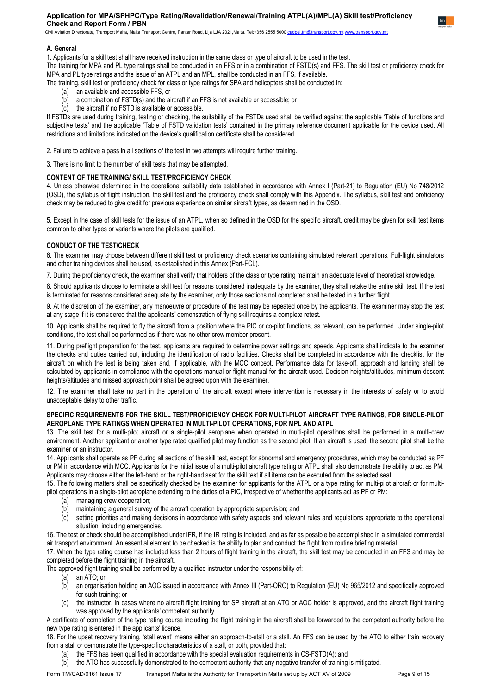Civil Aviation Directorate, Transport Malta, Malta Transport Centre, Pantar Road, Lija LJA 2021,Malta. Tel:+356 2555 5000 [cadpel.tm@transport.gov.mt](mailto:cadpel.tm@transport.gov.mt) ww

## **A. General**

1. Applicants for a skill test shall have received instruction in the same class or type of aircraft to be used in the test.

The training for MPA and PL type ratings shall be conducted in an FFS or in a combination of FSTD(s) and FFS. The skill test or proficiency check for MPA and PL type ratings and the issue of an ATPL and an MPL, shall be conducted in an FFS, if available.

The training, skill test or proficiency check for class or type ratings for SPA and helicopters shall be conducted in:

- (a) an available and accessible FFS, or
- (b) a combination of FSTD(s) and the aircraft if an FFS is not available or accessible; or
- (c) the aircraft if no FSTD is available or accessible.

If FSTDs are used during training, testing or checking, the suitability of the FSTDs used shall be verified against the applicable 'Table of functions and subjective tests' and the applicable 'Table of FSTD validation tests' contained in the primary reference document applicable for the device used. All restrictions and limitations indicated on the device's qualification certificate shall be considered.

2. Failure to achieve a pass in all sections of the test in two attempts will require further training.

3. There is no limit to the number of skill tests that may be attempted.

# **CONTENT OF THE TRAINING/ SKILL TEST/PROFICIENCY CHECK**

4. Unless otherwise determined in the operational suitability data established in accordance with Annex I (Part-21) to Regulation (EU) No 748/2012 (OSD), the syllabus of flight instruction, the skill test and the proficiency check shall comply with this Appendix. The syllabus, skill test and proficiency check may be reduced to give credit for previous experience on similar aircraft types, as determined in the OSD.

5. Except in the case of skill tests for the issue of an ATPL, when so defined in the OSD for the specific aircraft, credit may be given for skill test items common to other types or variants where the pilots are qualified.

# **CONDUCT OF THE TEST/CHECK**

6. The examiner may choose between different skill test or proficiency check scenarios containing simulated relevant operations. Full-flight simulators and other training devices shall be used, as established in this Annex (Part-FCL).

7. During the proficiency check, the examiner shall verify that holders of the class or type rating maintain an adequate level of theoretical knowledge.

8. Should applicants choose to terminate a skill test for reasons considered inadequate by the examiner, they shall retake the entire skill test. If the test is terminated for reasons considered adequate by the examiner, only those sections not completed shall be tested in a further flight.

9. At the discretion of the examiner, any manoeuvre or procedure of the test may be repeated once by the applicants. The examiner may stop the test at any stage if it is considered that the applicants' demonstration of flying skill requires a complete retest.

10. Applicants shall be required to fly the aircraft from a position where the PIC or co-pilot functions, as relevant, can be performed. Under single-pilot conditions, the test shall be performed as if there was no other crew member present.

11. During preflight preparation for the test, applicants are required to determine power settings and speeds. Applicants shall indicate to the examiner the checks and duties carried out, including the identification of radio facilities. Checks shall be completed in accordance with the checklist for the aircraft on which the test is being taken and, if applicable, with the MCC concept. Performance data for take-off, approach and landing shall be calculated by applicants in compliance with the operations manual or flight manual for the aircraft used. Decision heights/altitudes, minimum descent heights/altitudes and missed approach point shall be agreed upon with the examiner.

12. The examiner shall take no part in the operation of the aircraft except where intervention is necessary in the interests of safety or to avoid unacceptable delay to other traffic.

## **SPECIFIC REQUIREMENTS FOR THE SKILL TEST/PROFICIENCY CHECK FOR MULTI-PILOT AIRCRAFT TYPE RATINGS, FOR SINGLE-PILOT AEROPLANE TYPE RATINGS WHEN OPERATED IN MULTI-PILOT OPERATIONS, FOR MPL AND ATPL**

13. The skill test for a multi-pilot aircraft or a single-pilot aeroplane when operated in multi-pilot operations shall be performed in a multi-crew environment. Another applicant or another type rated qualified pilot may function as the second pilot. If an aircraft is used, the second pilot shall be the examiner or an instructor.

14. Applicants shall operate as PF during all sections of the skill test, except for abnormal and emergency procedures, which may be conducted as PF or PM in accordance with MCC. Applicants for the initial issue of a multi-pilot aircraft type rating or ATPL shall also demonstrate the ability to act as PM. Applicants may choose either the left-hand or the right-hand seat for the skill test if all items can be executed from the selected seat.

15. The following matters shall be specifically checked by the examiner for applicants for the ATPL or a type rating for multi-pilot aircraft or for multipilot operations in a single-pilot aeroplane extending to the duties of a PIC, irrespective of whether the applicants act as PF or PM:

- (a) managing crew cooperation;
- (b) maintaining a general survey of the aircraft operation by appropriate supervision; and
- (c) setting priorities and making decisions in accordance with safety aspects and relevant rules and regulations appropriate to the operational situation, including emergencies.
- 16. The test or check should be accomplished under IFR, if the IR rating is included, and as far as possible be accomplished in a simulated commercial air transport environment. An essential element to be checked is the ability to plan and conduct the flight from routine briefing material.

17. When the type rating course has included less than 2 hours of flight training in the aircraft, the skill test may be conducted in an FFS and may be completed before the flight training in the aircraft.

The approved flight training shall be performed by a qualified instructor under the responsibility of:

- (a) an ATO; or
- (b) an organisation holding an AOC issued in accordance with Annex III (Part-ORO) to Regulation (EU) No 965/2012 and specifically approved for such training; or
- the instructor, in cases where no aircraft flight training for SP aircraft at an ATO or AOC holder is approved, and the aircraft flight training was approved by the applicants' competent authority.

A certificate of completion of the type rating course including the flight training in the aircraft shall be forwarded to the competent authority before the new type rating is entered in the applicants' licence.

18. For the upset recovery training, 'stall event' means either an approach-to-stall or a stall. An FFS can be used by the ATO to either train recovery from a stall or demonstrate the type-specific characteristics of a stall, or both, provided that:

- (a) the FFS has been qualified in accordance with the special evaluation requirements in CS-FSTD(A); and
- (b) the ATO has successfully demonstrated to the competent authority that any negative transfer of training is mitigated.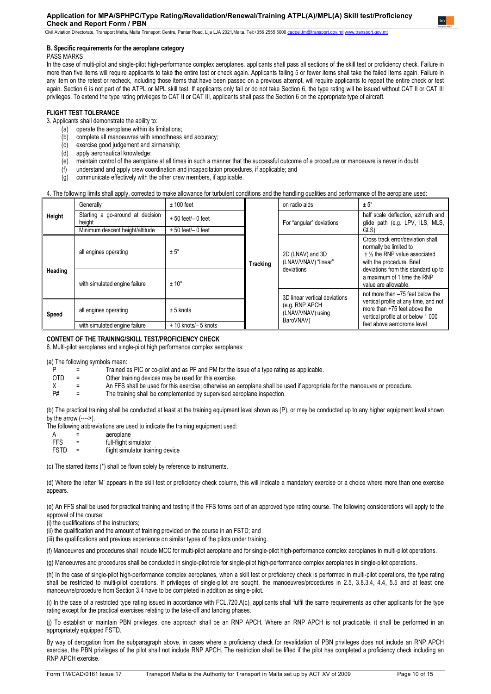Civil Aviation Directorate, Transport Malta, Malta Transport Centre, Pantar Road, Lija LJA 2021, Malta. Tel:+356 2555 5000 cadpel.tm@t

#### **B. Specific requirements for the aeroplane category**

PASS MARKS

In the case of multi-pilot and single-pilot high-performance complex aeroplanes, applicants shall pass all sections of the skill test or proficiency check. Failure in more than five items will require applicants to take the entire test or check again. Applicants failing 5 or fewer items shall take the failed items again. Failure in any item on the retest or recheck, including those items that have been passed on a previous attempt, will require applicants to repeat the entire check or test again. Section 6 is not part of the ATPL or MPL skill test. If applicants only fail or do not take Section 6, the type rating will be issued without CAT II or CAT III privileges. To extend the type rating privileges to CAT II or CAT III, applicants shall pass the Section 6 on the appropriate type of aircraft.

## **FLIGHT TEST TOLERANCE**

- 3. Applicants shall demonstrate the ability to:
	- (a) operate the aeroplane within its limitations;
	- (b) complete all manoeuvres with smoothness and accuracy;
	- (c) exercise good judgement and airmanship;<br>(d) apply aeronautical knowledge;
	- apply aeronautical knowledge;
	- (e) maintain control of the aeroplane at all times in such a manner that the successful outcome of a procedure or manoeuvre is never in doubt;<br>(f) understand and apply crew coordination and incapacitation procedures, if ap
	- understand and apply crew coordination and incapacitation procedures, if applicable; and
	- (g) communicate effectively with the other crew members, if applicable.

## 4. The following limits shall apply, corrected to make allowance for turbulent conditions and the handling qualities and performance of the aeroplane used:

|         | Generally                                                          | $± 100$ feet          |                          | on radio aids                                                         | $± 5^\circ$                                                                                                                |
|---------|--------------------------------------------------------------------|-----------------------|--------------------------|-----------------------------------------------------------------------|----------------------------------------------------------------------------------------------------------------------------|
| Height  | Starting a go-around at decision<br>$+50$ feet $-0$ feet<br>height |                       | For "angular" deviations | half scale deflection, azimuth and<br>glide path (e.g. LPV, ILS, MLS, |                                                                                                                            |
|         | Minimum descent height/altitude                                    | $+50$ feet/ $-0$ feet |                          |                                                                       | GLS)                                                                                                                       |
|         | all engines operating                                              | $± 5^\circ$           | <b>Tracking</b>          | 2D (LNAV) and 3D<br>(LNAV/VNAV) "linear"                              | Cross track error/deviation shall<br>normally be limited to<br>$±$ % the RNP value associated<br>with the procedure. Brief |
| Heading | with simulated engine failure                                      | $± 10^{\circ}$        |                          | deviations                                                            | deviations from this standard up to<br>a maximum of 1 time the RNP<br>value are allowable.                                 |
|         |                                                                    |                       |                          | 3D linear vertical deviations                                         | not more than -75 feet below the                                                                                           |
| Speed   | all engines operating<br>$± 5$ knots                               |                       |                          | (e.g. RNP APCH<br>(LNAV/VNAV) using<br>BaroVNAV)                      | vertical profile at any time, and not<br>more than +75 feet above the<br>vertical profile at or below 1 000                |
|         | with simulated engine failure                                      | + 10 knots/- 5 knots  |                          |                                                                       | feet above aerodrome level                                                                                                 |

## **CONTENT OF THE TRAINING/SKILL TEST/PROFICIENCY CHECK**

6. Multi-pilot aeroplanes and single-pilot high performance complex aeroplanes:

(a) The following symbols mean:

|  | Trained as PIC or co-pilot and as PF and PM for the issue of a type rating as applicable. |
|--|-------------------------------------------------------------------------------------------|

- OTD  $=$  Other training devices may be used for this exercise.<br>  $X =$  An FFS shall be used for this exercise: otherwise an
- X = An FFS shall be used for this exercise; otherwise an aeroplane shall be used if appropriate for the manoeuvre or procedure.<br>P# = The training shall be complemented by supervised aeroplane inspection.

The training shall be complemented by supervised aeroplane inspection.

(b) The practical training shall be conducted at least at the training equipment level shown as (P), or may be conducted up to any higher equipment level shown by the arrow (---->).

The following abbreviations are used to indicate the training equipment used:

- A = aeroplane<br>FFS = full-flight s
- full-flight simulator
- FSTD = flight simulator training device

(c) The starred items (\*) shall be flown solely by reference to instruments.

(d) Where the letter 'M' appears in the skill test or proficiency check column, this will indicate a mandatory exercise or a choice where more than one exercise appears.

(e) An FFS shall be used for practical training and testing if the FFS forms part of an approved type rating course. The following considerations will apply to the approval of the course:

(i) the qualifications of the instructors;

(ii) the qualification and the amount of training provided on the course in an FSTD; and

(iii) the qualifications and previous experience on similar types of the pilots under training.

(f) Manoeuvres and procedures shall include MCC for multi-pilot aeroplane and for single-pilot high-performance complex aeroplanes in multi-pilot operations.

(g) Manoeuvres and procedures shall be conducted in single-pilot role for single-pilot high-performance complex aeroplanes in single-pilot operations.

(h) In the case of single-pilot high-performance complex aeroplanes, when a skill test or proficiency check is performed in multi-pilot operations, the type rating shall be restricted to multi-pilot operations. If privileges of single-pilot are sought, the manoeuvres/procedures in 2.5, 3.8.3.4, 4.4, 5.5 and at least one manoeuvre/procedure from Section 3.4 have to be completed in addition as single-pilot.

(i) In the case of a restricted type rating issued in accordance with FCL.720.A(c), applicants shall fulfil the same requirements as other applicants for the type rating except for the practical exercises relating to the take-off and landing phases.

(j) To establish or maintain PBN privileges, one approach shall be an RNP APCH. Where an RNP APCH is not practicable, it shall be performed in an appropriately equipped FSTD.

By way of derogation from the subparagraph above, in cases where a proficiency check for revalidation of PBN privileges does not include an RNP APCH exercise, the PBN privileges of the pilot shall not include RNP APCH. The restriction shall be lifted if the pilot has completed a proficiency check including an RNP APCH exercise.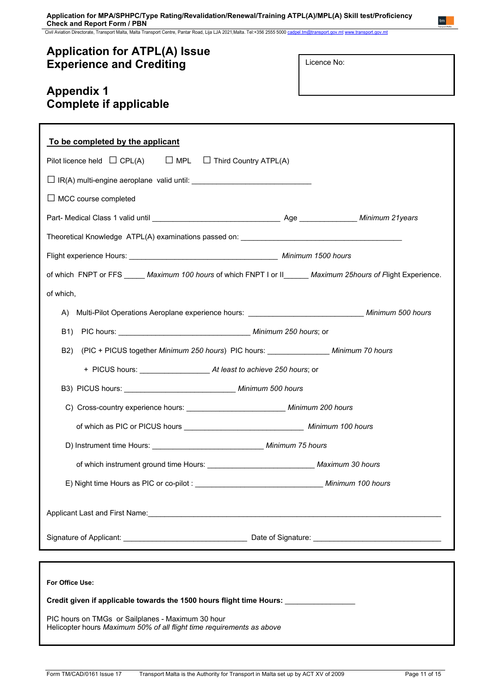Civil Aviation Directorate, Transport Malta, Malta Transport Centre, Pantar Road, Lija LJA 2021,Malta. Tel:+356 2555 5000 [cadpel.tm@transport.gov.mt](mailto:cadpel.tm@transport.gov.mt) www.transport.gov.mt

# **Application for ATPL(A) Issue Experience and Crediting**

Licence No:

 $tm$ 

# **Appendix 1 Complete if applicable**

| To be completed by the applicant                                                                                           |  |  |  |  |  |  |  |
|----------------------------------------------------------------------------------------------------------------------------|--|--|--|--|--|--|--|
| Pilot licence held $\Box$ CPL(A) $\Box$ MPL $\Box$ Third Country ATPL(A)                                                   |  |  |  |  |  |  |  |
| $\Box$ IR(A) multi-engine aeroplane valid until: _________________________________                                         |  |  |  |  |  |  |  |
| $\Box$ MCC course completed                                                                                                |  |  |  |  |  |  |  |
|                                                                                                                            |  |  |  |  |  |  |  |
|                                                                                                                            |  |  |  |  |  |  |  |
|                                                                                                                            |  |  |  |  |  |  |  |
| of which FNPT or FFS _____ Maximum 100 hours of which FNPT I or II______ Maximum 25hours of Flight Experience.             |  |  |  |  |  |  |  |
| of which,                                                                                                                  |  |  |  |  |  |  |  |
|                                                                                                                            |  |  |  |  |  |  |  |
|                                                                                                                            |  |  |  |  |  |  |  |
| (PIC + PICUS together Minimum 250 hours) PIC hours: _______________ Minimum 70 hours<br>B2)                                |  |  |  |  |  |  |  |
|                                                                                                                            |  |  |  |  |  |  |  |
| B3) PICUS hours: __________________________________ Minimum 500 hours                                                      |  |  |  |  |  |  |  |
| C) Cross-country experience hours: Minimum 200 hours                                                                       |  |  |  |  |  |  |  |
| of which as PIC or PICUS hours ___________________________________ Minimum 100 hours                                       |  |  |  |  |  |  |  |
|                                                                                                                            |  |  |  |  |  |  |  |
|                                                                                                                            |  |  |  |  |  |  |  |
|                                                                                                                            |  |  |  |  |  |  |  |
|                                                                                                                            |  |  |  |  |  |  |  |
|                                                                                                                            |  |  |  |  |  |  |  |
|                                                                                                                            |  |  |  |  |  |  |  |
| For Office Use:                                                                                                            |  |  |  |  |  |  |  |
| Credit given if applicable towards the 1500 hours flight time Hours: ____________                                          |  |  |  |  |  |  |  |
| PIC hours on TMGs or Sailplanes - Maximum 30 hour<br>Helicopter hours Maximum 50% of all flight time requirements as above |  |  |  |  |  |  |  |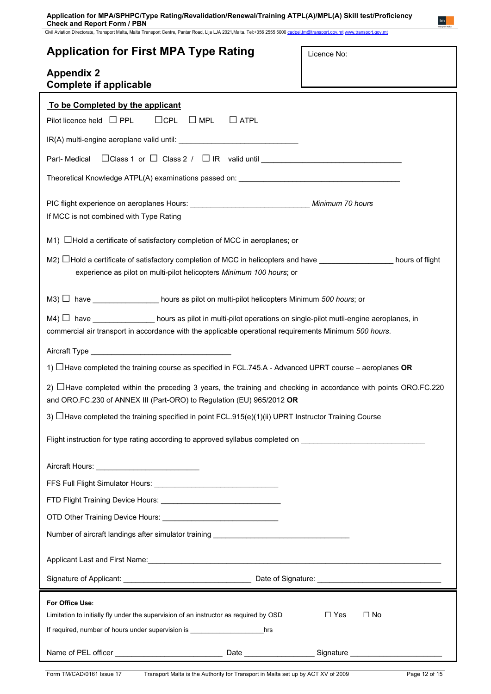Civil Aviation Directorate, Transport Malta, Malta Transport Centre, Pantar Road, Lija LJA 2021,Malta. Tel:+356 2555 5000 [cadpel.tm@transport.gov.mt](mailto:cadpel.tm@transport.gov.mt) www.transport.gov.mt

| <b>Application for First MPA Type Rating</b>                                                                                                                                                                                      | Licence No:             |  |  |  |  |  |
|-----------------------------------------------------------------------------------------------------------------------------------------------------------------------------------------------------------------------------------|-------------------------|--|--|--|--|--|
| <b>Appendix 2</b><br><b>Complete if applicable</b>                                                                                                                                                                                |                         |  |  |  |  |  |
| To be Completed by the applicant<br>$\Box$ CPL $\Box$ MPL<br>Pilot licence held $\Box$ PPL<br>$\Box$ ATPL                                                                                                                         |                         |  |  |  |  |  |
|                                                                                                                                                                                                                                   |                         |  |  |  |  |  |
| Part-Medical                                                                                                                                                                                                                      |                         |  |  |  |  |  |
| Theoretical Knowledge ATPL(A) examinations passed on: ___________________________                                                                                                                                                 |                         |  |  |  |  |  |
| If MCC is not combined with Type Rating                                                                                                                                                                                           |                         |  |  |  |  |  |
| $M1)$ $\Box$ Hold a certificate of satisfactory completion of MCC in aeroplanes; or                                                                                                                                               |                         |  |  |  |  |  |
| M2) $\Box$ Hold a certificate of satisfactory completion of MCC in helicopters and have $\Box$ hours of flight<br>experience as pilot on multi-pilot helicopters Minimum 100 hours; or                                            |                         |  |  |  |  |  |
| M3) □ have _________________ hours as pilot on multi-pilot helicopters Minimum 500 hours; or                                                                                                                                      |                         |  |  |  |  |  |
| $M4)$ $\Box$ have ________________ hours as pilot in multi-pilot operations on single-pilot mutli-engine aeroplanes, in<br>commercial air transport in accordance with the applicable operational requirements Minimum 500 hours. |                         |  |  |  |  |  |
|                                                                                                                                                                                                                                   |                         |  |  |  |  |  |
| 1) $\Box$ Have completed the training course as specified in FCL.745.A - Advanced UPRT course – aeroplanes OR                                                                                                                     |                         |  |  |  |  |  |
| 2) $\Box$ Have completed within the preceding 3 years, the training and checking in accordance with points ORO.FC.220<br>and ORO.FC.230 of ANNEX III (Part-ORO) to Regulation (EU) 965/2012 OR                                    |                         |  |  |  |  |  |
| 3) $\Box$ Have completed the training specified in point FCL.915(e)(1)(ii) UPRT Instructor Training Course                                                                                                                        |                         |  |  |  |  |  |
| Flight instruction for type rating according to approved syllabus completed on example to the state of the state of                                                                                                               |                         |  |  |  |  |  |
|                                                                                                                                                                                                                                   |                         |  |  |  |  |  |
|                                                                                                                                                                                                                                   |                         |  |  |  |  |  |
|                                                                                                                                                                                                                                   |                         |  |  |  |  |  |
|                                                                                                                                                                                                                                   |                         |  |  |  |  |  |
| Number of aircraft landings after simulator training ____________________________                                                                                                                                                 |                         |  |  |  |  |  |
| Applicant Last and First Name: 1980 1990 1990 1991 1992 1994 1994 1994 1995 1996 1996 1997 1998 1999 1999 199                                                                                                                     |                         |  |  |  |  |  |
|                                                                                                                                                                                                                                   |                         |  |  |  |  |  |
| For Office Use:<br>Limitation to initially fly under the supervision of an instructor as required by OSD<br>If required, number of hours under supervision is __________________________hrs                                       | $\Box$ Yes<br>$\Box$ No |  |  |  |  |  |
|                                                                                                                                                                                                                                   |                         |  |  |  |  |  |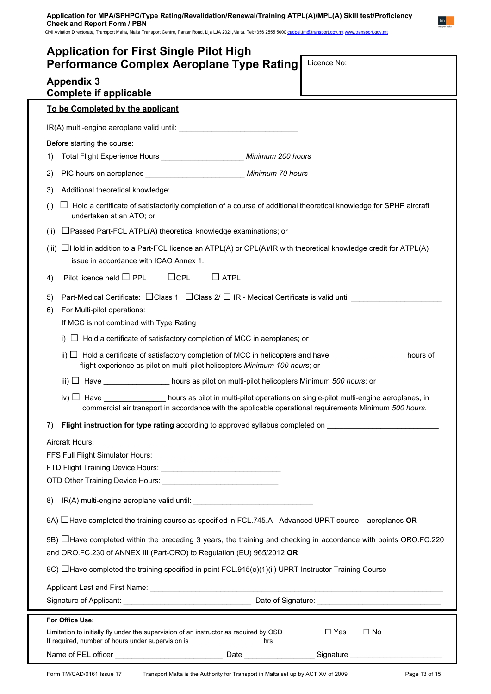Civil Aviation Directorate, Transport Malta, Malta Transport Centre, Pantar Road, Lija LJA 2021,Malta. Tel:+356 2555 5000 [cadpel.tm@transport.gov.mt](mailto:cadpel.tm@transport.gov.mt) www.transport.gov.mt

| <b>Application for First Single Pilot High</b><br><b>Performance Complex Aeroplane Type Rating</b>                                                                                            | Licence No:                                                                                                                                                                                                           |  |  |
|-----------------------------------------------------------------------------------------------------------------------------------------------------------------------------------------------|-----------------------------------------------------------------------------------------------------------------------------------------------------------------------------------------------------------------------|--|--|
| <b>Appendix 3</b><br><b>Complete if applicable</b>                                                                                                                                            |                                                                                                                                                                                                                       |  |  |
| To be Completed by the applicant                                                                                                                                                              |                                                                                                                                                                                                                       |  |  |
|                                                                                                                                                                                               |                                                                                                                                                                                                                       |  |  |
| Before starting the course:                                                                                                                                                                   |                                                                                                                                                                                                                       |  |  |
| Total Flight Experience Hours _______________________ Minimum 200 hours<br>1)                                                                                                                 |                                                                                                                                                                                                                       |  |  |
| PIC hours on aeroplanes ________________________________ Minimum 70 hours<br>2)                                                                                                               |                                                                                                                                                                                                                       |  |  |
| Additional theoretical knowledge:<br>3)                                                                                                                                                       |                                                                                                                                                                                                                       |  |  |
| $\Box$ Hold a certificate of satisfactorily completion of a course of additional theoretical knowledge for SPHP aircraft<br>(i)<br>undertaken at an ATO; or                                   |                                                                                                                                                                                                                       |  |  |
| □ Passed Part-FCL ATPL(A) theoretical knowledge examinations; or<br>(ii)                                                                                                                      |                                                                                                                                                                                                                       |  |  |
| $\Box$ Hold in addition to a Part-FCL licence an ATPL(A) or CPL(A)/IR with theoretical knowledge credit for ATPL(A)<br>(iii)<br>issue in accordance with ICAO Annex 1.                        |                                                                                                                                                                                                                       |  |  |
| $\Box$ CPL<br>Pilot licence held $\Box$ PPL<br>$\Box$ ATPL<br>4)                                                                                                                              |                                                                                                                                                                                                                       |  |  |
| Part-Medical Certificate: $\Box$ Class 1 $\Box$ Class 2/ $\Box$ IR - Medical Certificate is valid until $\Box$<br>5)                                                                          |                                                                                                                                                                                                                       |  |  |
| For Multi-pilot operations:<br>6)                                                                                                                                                             |                                                                                                                                                                                                                       |  |  |
| If MCC is not combined with Type Rating                                                                                                                                                       |                                                                                                                                                                                                                       |  |  |
| i) $\Box$ Hold a certificate of satisfactory completion of MCC in aeroplanes; or                                                                                                              |                                                                                                                                                                                                                       |  |  |
| ii) $□$ Hold a certificate of satisfactory completion of MCC in helicopters and have ________________ hours of<br>flight experience as pilot on multi-pilot helicopters Minimum 100 hours; or |                                                                                                                                                                                                                       |  |  |
| iii) $\Box$ Have __________________ hours as pilot on multi-pilot helicopters Minimum 500 hours; or                                                                                           |                                                                                                                                                                                                                       |  |  |
|                                                                                                                                                                                               | iv) $\Box$ Have $\Box$ hours as pilot in multi-pilot operations on single-pilot multi-engine aeroplanes, in<br>commercial air transport in accordance with the applicable operational requirements Minimum 500 hours. |  |  |
| Flight instruction for type rating according to approved syllabus completed on<br>7)                                                                                                          |                                                                                                                                                                                                                       |  |  |
|                                                                                                                                                                                               |                                                                                                                                                                                                                       |  |  |
|                                                                                                                                                                                               |                                                                                                                                                                                                                       |  |  |
|                                                                                                                                                                                               |                                                                                                                                                                                                                       |  |  |
| 8)                                                                                                                                                                                            |                                                                                                                                                                                                                       |  |  |
| 9A) $\Box$ Have completed the training course as specified in FCL.745.A - Advanced UPRT course – aeroplanes OR                                                                                |                                                                                                                                                                                                                       |  |  |
| 9B) ∐Have completed within the preceding 3 years, the training and checking in accordance with points ORO.FC.220<br>and ORO.FC.230 of ANNEX III (Part-ORO) to Regulation (EU) 965/2012 OR     |                                                                                                                                                                                                                       |  |  |
| 9C) $\Box$ Have completed the training specified in point FCL.915(e)(1)(ii) UPRT Instructor Training Course                                                                                   |                                                                                                                                                                                                                       |  |  |
|                                                                                                                                                                                               |                                                                                                                                                                                                                       |  |  |
|                                                                                                                                                                                               |                                                                                                                                                                                                                       |  |  |
| For Office Use:                                                                                                                                                                               |                                                                                                                                                                                                                       |  |  |
| Limitation to initially fly under the supervision of an instructor as required by OSD                                                                                                         | $\Box$ Yes<br>$\Box$ No                                                                                                                                                                                               |  |  |
|                                                                                                                                                                                               |                                                                                                                                                                                                                       |  |  |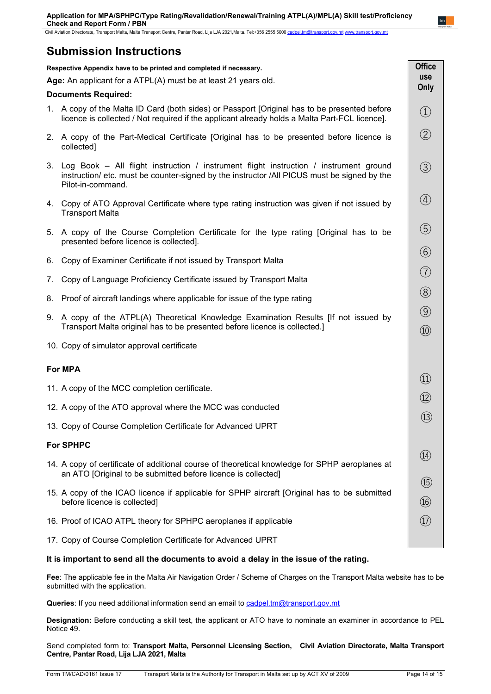Civil Aviation Directorate, Transport Malta, Malta Transport Centre, Pantar Road, Lija LJA 2021,Malta. Tel:+356 2555 5000 [cadpel.tm@transport.gov.mt](mailto:cadpel.tm@transport.gov.mt) www.transport.gov.mt

# **Submission Instructions**

| Respective Appendix have to be printed and completed if necessary.                                                           |                                                                                                                                                                                                              | <b>Office</b>                        |
|------------------------------------------------------------------------------------------------------------------------------|--------------------------------------------------------------------------------------------------------------------------------------------------------------------------------------------------------------|--------------------------------------|
| Age: An applicant for a ATPL(A) must be at least 21 years old.                                                               |                                                                                                                                                                                                              | use<br>Only                          |
| <b>Documents Required:</b>                                                                                                   |                                                                                                                                                                                                              |                                      |
|                                                                                                                              | 1. A copy of the Malta ID Card (both sides) or Passport [Original has to be presented before<br>licence is collected / Not required if the applicant already holds a Malta Part-FCL licence].                | $\bigcirc$                           |
|                                                                                                                              | 2. A copy of the Part-Medical Certificate [Original has to be presented before licence is<br>collected]                                                                                                      | $\circled{2}$                        |
|                                                                                                                              | 3. Log Book – All flight instruction / instrument flight instruction / instrument ground<br>instruction/ etc. must be counter-signed by the instructor /All PICUS must be signed by the<br>Pilot-in-command. | $\circled{3}$                        |
|                                                                                                                              | 4. Copy of ATO Approval Certificate where type rating instruction was given if not issued by<br><b>Transport Malta</b>                                                                                       | $\bigcirc$                           |
|                                                                                                                              | 5. A copy of the Course Completion Certificate for the type rating [Original has to be<br>presented before licence is collected].                                                                            | $\circledS$                          |
| 6.                                                                                                                           | Copy of Examiner Certificate if not issued by Transport Malta                                                                                                                                                | $\circled{6}$                        |
| 7.                                                                                                                           | Copy of Language Proficiency Certificate issued by Transport Malta                                                                                                                                           | $\circled{7}$                        |
|                                                                                                                              | 8. Proof of aircraft landings where applicable for issue of the type rating                                                                                                                                  | $\circledS$                          |
|                                                                                                                              | 9. A copy of the ATPL(A) Theoretical Knowledge Examination Results [If not issued by<br>Transport Malta original has to be presented before licence is collected.]                                           | $\circled{9}$<br>$\circled{10}$      |
| 10. Copy of simulator approval certificate                                                                                   |                                                                                                                                                                                                              |                                      |
| <b>For MPA</b>                                                                                                               |                                                                                                                                                                                                              |                                      |
|                                                                                                                              | 11. A copy of the MCC completion certificate.                                                                                                                                                                | $\left( \underline{1}\right)$        |
|                                                                                                                              | 12. A copy of the ATO approval where the MCC was conducted                                                                                                                                                   | $\circled{12}$                       |
|                                                                                                                              | 13. Copy of Course Completion Certificate for Advanced UPRT                                                                                                                                                  | $\circled{1}$                        |
| <b>For SPHPC</b><br>(14)                                                                                                     |                                                                                                                                                                                                              |                                      |
|                                                                                                                              | 14. A copy of certificate of additional course of theoretical knowledge for SPHP aeroplanes at                                                                                                               |                                      |
| an ATO [Original to be submitted before licence is collected]                                                                |                                                                                                                                                                                                              | $\circled{15}$                       |
| 15. A copy of the ICAO licence if applicable for SPHP aircraft [Original has to be submitted<br>before licence is collected] |                                                                                                                                                                                                              | $\circledR$                          |
|                                                                                                                              | 16. Proof of ICAO ATPL theory for SPHPC aeroplanes if applicable                                                                                                                                             | $\left(\widehat{\mathrm{17}}\right)$ |
|                                                                                                                              | 17. Copy of Course Completion Certificate for Advanced UPRT                                                                                                                                                  |                                      |

# **It is important to send all the documents to avoid a delay in the issue of the rating.**

**Fee**: The applicable fee in the Malta Air Navigation Order / Scheme of Charges on the Transport Malta website has to be submitted with the application.

**Queries**: If you need additional information send an email to cadpel.tm@transport.gov.mt

**Designation:** Before conducting a skill test, the applicant or ATO have to nominate an examiner in accordance to PEL Notice 49.

Send completed form to: **Transport Malta, Personnel Licensing Section, Civil Aviation Directorate, Malta Transport Centre, Pantar Road, Lija LJA 2021, Malta**